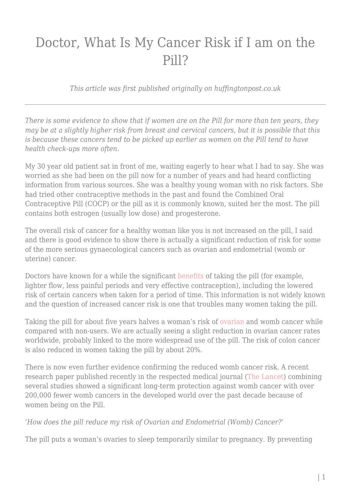## Doctor, What Is My Cancer Risk if I am on the Pill?

*This article was first published originally on huffingtonpost.co.uk*

*There is some evidence to show that if women are on the Pill for more than ten years, they may be at a slightly higher risk from breast and cervical cancers, but it is possible that this is because these cancers tend to be picked up earlier as women on the Pill tend to have health check-ups more often.*

My 30 year old patient sat in front of me, waiting eagerly to hear what I had to say. She was worried as she had been on the pill now for a number of years and had heard conflicting information from various sources. She was a healthy young woman with no risk factors. She had tried other contraceptive methods in the past and found the Combined Oral Contraceptive Pill (COCP) or the pill as it is commonly known, suited her the most. The pill contains both estrogen (usually low dose) and progesterone.

The overall risk of cancer for a healthy woman like you is not increased on the pill, I said and there is good evidence to show there is actually a significant reduction of risk for some of the more serious gynaecological cancers such as ovarian and endometrial (womb or uterine) cancer.

Doctors have known for a while the significant [benefits](https://www.huffingtonpost.co.uk/dr-nitu-bajekal/life-without-periods-contraceptive-pill_b_7922080.html) of taking the pill (for example, lighter flow, less painful periods and very effective contraception), including the lowered risk of certain cancers when taken for a period of time. This information is not widely known and the question of increased cancer risk is one that troubles many women taking the pill.

Taking the pill for about five years halves a woman's risk of [ovarian](http://www.cancerresearchuk.org/about-cancer/cancers-in-general/cancer-questions/the-contraceptive-pill-and-cancer-risk#ovary) and womb cancer while compared with non-users. We are actually seeing a slight reduction in ovarian cancer rates worldwide, probably linked to the more widespread use of the pill. The risk of colon cancer is also reduced in women taking the pill by about 20%.

There is now even further evidence confirming the reduced womb cancer risk. A recent research paper published recently in the respected medical journal ([The Lancet\)](http://www.thelancet.com/journals/lanonc/article/PIIS1470-2045%2815%2900212-0/abstract) combining several studies showed a significant long-term protection against womb cancer with over 200,000 fewer womb cancers in the developed world over the past decade because of women being on the Pill.

*'How does the pill reduce my risk of Ovarian and Endometrial (Womb) Cancer?'*

The pill puts a woman's ovaries to sleep temporarily similar to pregnancy. By preventing